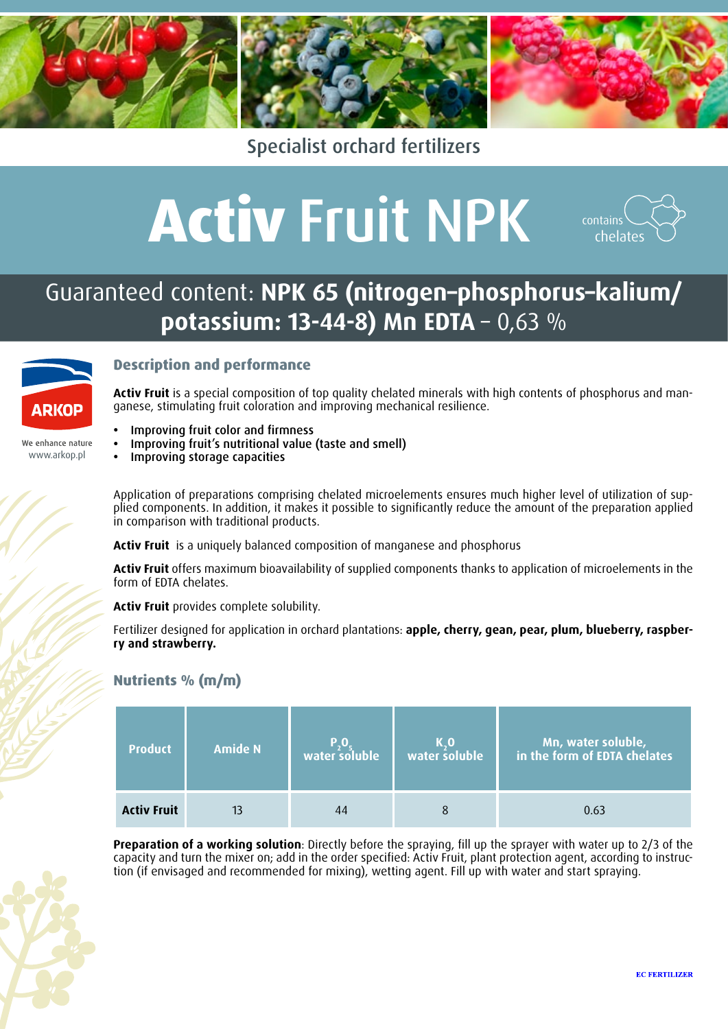

Specialist orchard fertilizers

# **Activ** Fruit NPK



### Guaranteed content: **NPK 65 (nitrogen–phosphorus–kalium/ potassium: 13-44-8) Mn EDTA** – 0,63 %



www.arkop.pl

We enhance nature

#### **Description and performance**

**Activ Fruit** is a special composition of top quality chelated minerals with high contents of phosphorus and manganese, stimulating fruit coloration and improving mechanical resilience.

- **Improving fruit color and firmness**
- **•**  Improving fruit's nutritional value (taste and smell)
- **Improving storage capacities**

Application of preparations comprising chelated microelements ensures much higher level of utilization of supplied components. In addition, it makes it possible to significantly reduce the amount of the preparation applied in comparison with traditional products.

**Activ Fruit** is a uniquely balanced composition of manganese and phosphorus

**Activ Fruit** offers maximum bioavailability of supplied components thanks to application of microelements in the form of EDTA chelates.

**Activ Fruit** provides complete solubility.

Fertilizer designed for application in orchard plantations: **apple, cherry, gean, pear, plum, blueberry, raspberry and strawberry.** 

#### **Nutrients % (m/m)**

| <b>Product</b>     | <b>Amide N</b> | water soluble | K.O<br>water soluble | Mn, water soluble,<br>in the form of EDTA chelates |
|--------------------|----------------|---------------|----------------------|----------------------------------------------------|
| <b>Activ Fruit</b> |                | 44            |                      | 0.63                                               |

**Preparation of a working solution**: Directly before the spraying, fill up the sprayer with water up to 2/3 of the capacity and turn the mixer on; add in the order specified: Activ Fruit, plant protection agent, according to instruction (if envisaged and recommended for mixing), wetting agent. Fill up with water and start spraying.